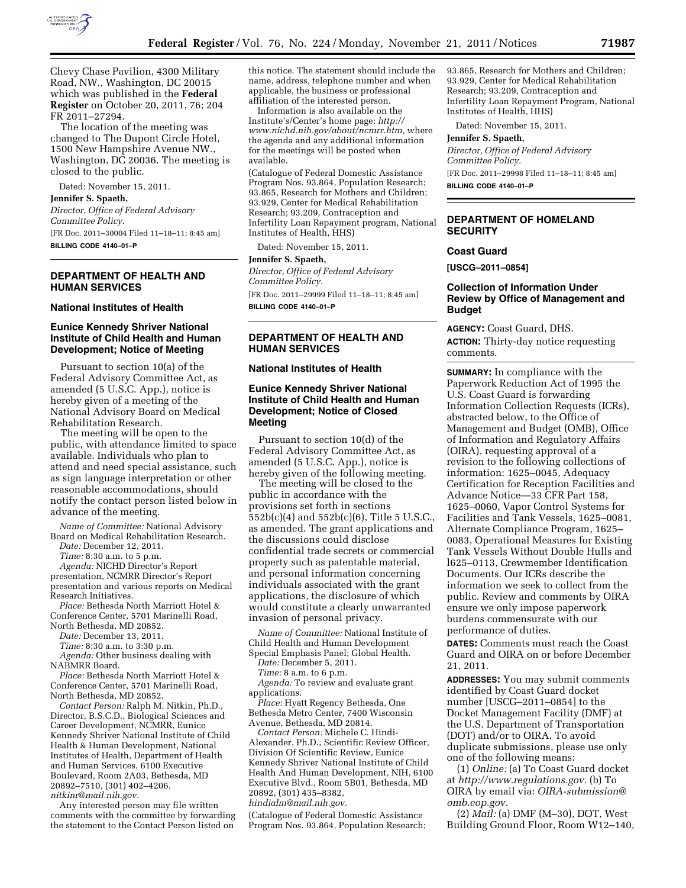

Chevy Chase Pavilion, 4300 Military Road, NW., Washington, DC 20015 which was published in the **Federal Register** on October 20, 2011, 76; 204 FR 2011–27294.

The location of the meeting was changed to The Dupont Circle Hotel, 1500 New Hampshire Avenue NW., Washington, DC 20036. The meeting is closed to the public.

Dated: November 15, 2011.

**Jennifer S. Spaeth,** 

*Director, Office of Federal Advisory Committee Policy.* 

[FR Doc. 2011–30004 Filed 11–18–11; 8:45 am] **BILLING CODE 4140–01–P** 

# **DEPARTMENT OF HEALTH AND HUMAN SERVICES**

### **National Institutes of Health**

### **Eunice Kennedy Shriver National Institute of Child Health and Human Development; Notice of Meeting**

Pursuant to section 10(a) of the Federal Advisory Committee Act, as amended (5 U.S.C. App.), notice is hereby given of a meeting of the National Advisory Board on Medical Rehabilitation Research.

The meeting will be open to the public, with attendance limited to space available. Individuals who plan to attend and need special assistance, such as sign language interpretation or other reasonable accommodations, should notify the contact person listed below in advance of the meeting.

*Name of Committee:* National Advisory Board on Medical Rehabilitation Research.

*Date:* December 12, 2011.

*Time:* 8:30 a.m. to 5 p.m.

*Agenda:* NICHD Director's Report presentation, NCMRR Director's Report presentation and various reports on Medical Research Initiatives.

*Place:* Bethesda North Marriott Hotel & Conference Center, 5701 Marinelli Road,

North Bethesda, MD 20852.

*Date:* December 13, 2011.

*Time:* 8:30 a.m. to 3:30 p.m.

*Agenda:* Other business dealing with NABMRR Board.

*Place:* Bethesda North Marriott Hotel & Conference Center, 5701 Marinelli Road, North Bethesda, MD 20852.

*Contact Person:* Ralph M. Nitkin, Ph.D., Director, B.S.C.D., Biological Sciences and Career Development, NCMRR, Eunice Kennedy Shriver National Institute of Child Health & Human Development, National Institutes of Health, Department of Health and Human Services, 6100 Executive Boulevard, Room 2A03, Bethesda, MD 20892–7510, (301) 402–4206, *[nitkinr@mail.nih.gov.](mailto:nitkinr@mail.nih.gov)* 

Any interested person may file written comments with the committee by forwarding the statement to the Contact Person listed on

this notice. The statement should include the name, address, telephone number and when applicable, the business or professional affiliation of the interested person.

Information is also available on the Institute's/Center's home page: *[http://](http://www.nichd.nih.gov/about/ncmrr.htm) [www.nichd.nih.gov/about/ncmrr.htm,](http://www.nichd.nih.gov/about/ncmrr.htm)* where the agenda and any additional information for the meetings will be posted when available.

(Catalogue of Federal Domestic Assistance Program Nos. 93.864, Population Research; 93.865, Research for Mothers and Children; 93.929, Center for Medical Rehabilitation Research; 93.209, Contraception and Infertility Loan Repayment program, National Institutes of Health, HHS)

Dated: November 15, 2011.

#### **Jennifer S. Spaeth,**

*Director, Office of Federal Advisory Committee Policy.*  [FR Doc. 2011–29999 Filed 11–18–11; 8:45 am] **BILLING CODE 4140–01–P** 

# **DEPARTMENT OF HEALTH AND HUMAN SERVICES**

### **National Institutes of Health**

# **Eunice Kennedy Shriver National Institute of Child Health and Human Development; Notice of Closed Meeting**

Pursuant to section 10(d) of the Federal Advisory Committee Act, as amended (5 U.S.C. App.), notice is hereby given of the following meeting.

The meeting will be closed to the public in accordance with the provisions set forth in sections 552b(c)(4) and 552b(c)(6), Title 5 U.S.C., as amended. The grant applications and the discussions could disclose confidential trade secrets or commercial property such as patentable material, and personal information concerning individuals associated with the grant applications, the disclosure of which would constitute a clearly unwarranted invasion of personal privacy.

*Name of Committee:* National Institute of Child Health and Human Development Special Emphasis Panel; Global Health.

*Date:* December 5, 2011.

*Time:* 8 a.m. to 6 p.m.

*Agenda:* To review and evaluate grant applications.

*Place:* Hyatt Regency Bethesda, One Bethesda Metro Center, 7400 Wisconsin Avenue, Bethesda, MD 20814.

*Contact Person:* Michele C. Hindi-Alexander, Ph.D., Scientific Review Officer, Division Of Scientific Review, Eunice Kennedy Shriver National Institute of Child Health And Human Development, NIH, 6100 Executive Blvd., Room 5B01, Bethesda, MD 20892, (301) 435–8382,

*[hindialm@mail.nih.gov.](mailto:hindialm@mail.nih.gov)* 

(Catalogue of Federal Domestic Assistance Program Nos. 93.864, Population Research; 93.865, Research for Mothers and Children; 93.929, Center for Medical Rehabilitation Research; 93.209, Contraception and Infertility Loan Repayment Program, National Institutes of Health, HHS)

Dated: November 15, 2011.

**Jennifer S. Spaeth,** 

*Director, Office of Federal Advisory Committee Policy.*  [FR Doc. 2011–29998 Filed 11–18–11; 8:45 am] **BILLING CODE 4140–01–P** 

# **DEPARTMENT OF HOMELAND SECURITY**

# **Coast Guard**

**[USCG–2011–0854]** 

# **Collection of Information Under Review by Office of Management and Budget**

**AGENCY:** Coast Guard, DHS. **ACTION:** Thirty-day notice requesting comments.

**SUMMARY:** In compliance with the Paperwork Reduction Act of 1995 the U.S. Coast Guard is forwarding Information Collection Requests (ICRs), abstracted below, to the Office of Management and Budget (OMB), Office of Information and Regulatory Affairs (OIRA), requesting approval of a revision to the following collections of information: 1625–0045, Adequacy Certification for Reception Facilities and Advance Notice—33 CFR Part 158, 1625–0060, Vapor Control Systems for Facilities and Tank Vessels, 1625–0081, Alternate Compliance Program, 1625– 0083, Operational Measures for Existing Tank Vessels Without Double Hulls and l625–0113, Crewmember Identification Documents. Our ICRs describe the information we seek to collect from the public. Review and comments by OIRA ensure we only impose paperwork burdens commensurate with our performance of duties.

**DATES:** Comments must reach the Coast Guard and OIRA on or before December 21, 2011.

**ADDRESSES:** You may submit comments identified by Coast Guard docket number [USCG–2011–0854] to the Docket Management Facility (DMF) at the U.S. Department of Transportation (DOT) and/or to OIRA. To avoid duplicate submissions, please use only one of the following means:

(1) *Online:* (a) To Coast Guard docket at *[http://www.regulations.gov.](http://www.regulations.gov)* (b) To OIRA by email via: *[OIRA-submission@](mailto:OIRA-submission@omb.eop.gov) [omb.eop.gov.](mailto:OIRA-submission@omb.eop.gov)* 

(2) *Mail:* (a) DMF (M–30), DOT, West Building Ground Floor, Room W12–140,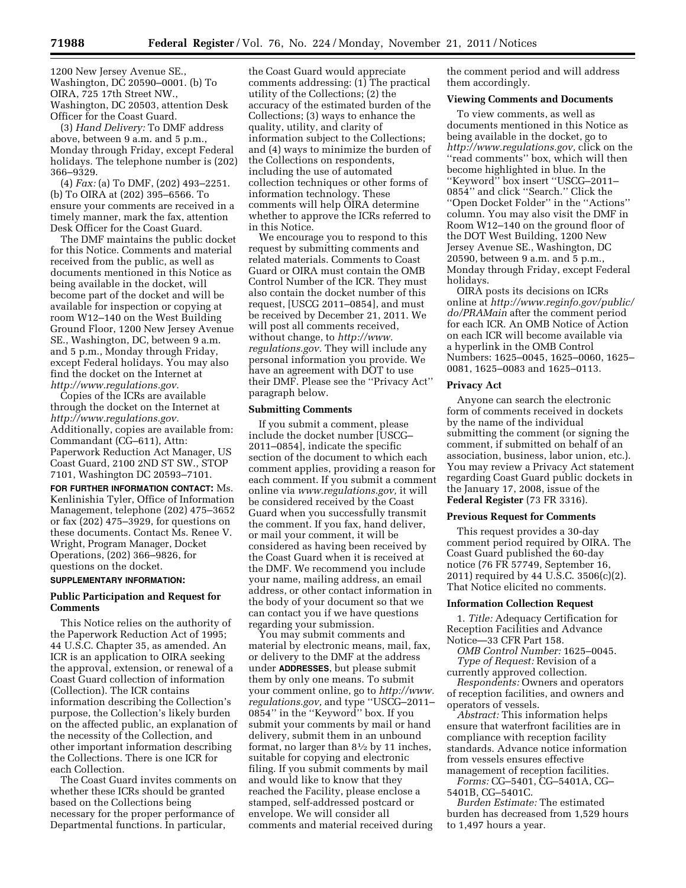1200 New Jersey Avenue SE., Washington, DC 20590–0001. (b) To OIRA, 725 17th Street NW., Washington, DC 20503, attention Desk Officer for the Coast Guard.

(3) *Hand Delivery:* To DMF address above, between 9 a.m. and 5 p.m., Monday through Friday, except Federal holidays. The telephone number is (202) 366–9329.

(4) *Fax:* (a) To DMF, (202) 493–2251. (b) To OIRA at (202) 395–6566. To ensure your comments are received in a timely manner, mark the fax, attention Desk Officer for the Coast Guard.

The DMF maintains the public docket for this Notice. Comments and material received from the public, as well as documents mentioned in this Notice as being available in the docket, will become part of the docket and will be available for inspection or copying at room W12–140 on the West Building Ground Floor, 1200 New Jersey Avenue SE., Washington, DC, between 9 a.m. and 5 p.m., Monday through Friday, except Federal holidays. You may also find the docket on the Internet at *[http://www.regulations.gov.](http://www.regulations.gov)* 

Copies of the ICRs are available through the docket on the Internet at *[http://www.regulations.gov.](http://www.regulations.gov)*  Additionally, copies are available from: Commandant (CG–611), Attn: Paperwork Reduction Act Manager, US Coast Guard, 2100 2ND ST SW., STOP 7101, Washington DC 20593–7101.

**FOR FURTHER INFORMATION CONTACT:** Ms. Kenlinishia Tyler, Office of Information Management, telephone (202) 475–3652 or fax (202) 475–3929, for questions on these documents. Contact Ms. Renee V. Wright, Program Manager, Docket Operations, (202) 366–9826, for questions on the docket.

### **SUPPLEMENTARY INFORMATION:**

## **Public Participation and Request for Comments**

This Notice relies on the authority of the Paperwork Reduction Act of 1995; 44 U.S.C. Chapter 35, as amended. An ICR is an application to OIRA seeking the approval, extension, or renewal of a Coast Guard collection of information (Collection). The ICR contains information describing the Collection's purpose, the Collection's likely burden on the affected public, an explanation of the necessity of the Collection, and other important information describing the Collections. There is one ICR for each Collection.

The Coast Guard invites comments on whether these ICRs should be granted based on the Collections being necessary for the proper performance of Departmental functions. In particular,

the Coast Guard would appreciate comments addressing: (1) The practical utility of the Collections; (2) the accuracy of the estimated burden of the Collections; (3) ways to enhance the quality, utility, and clarity of information subject to the Collections; and (4) ways to minimize the burden of the Collections on respondents, including the use of automated collection techniques or other forms of information technology. These comments will help OIRA determine whether to approve the ICRs referred to in this Notice.

We encourage you to respond to this request by submitting comments and related materials. Comments to Coast Guard or OIRA must contain the OMB Control Number of the ICR. They must also contain the docket number of this request, [USCG 2011–0854], and must be received by December 21, 2011. We will post all comments received, without change, to *[http://www.](http://www.regulations.gov) [regulations.gov.](http://www.regulations.gov)* They will include any personal information you provide. We have an agreement with DOT to use their DMF. Please see the ''Privacy Act'' paragraph below.

#### **Submitting Comments**

If you submit a comment, please include the docket number [USCG– 2011–0854], indicate the specific section of the document to which each comment applies, providing a reason for each comment. If you submit a comment online via *[www.regulations.gov,](http://www.regulations.gov)* it will be considered received by the Coast Guard when you successfully transmit the comment. If you fax, hand deliver, or mail your comment, it will be considered as having been received by the Coast Guard when it is received at the DMF. We recommend you include your name, mailing address, an email address, or other contact information in the body of your document so that we can contact you if we have questions regarding your submission.

You may submit comments and material by electronic means, mail, fax, or delivery to the DMF at the address under **ADDRESSES**, but please submit them by only one means. To submit your comment online, go to *[http://www.](http://www.regulations.gov) [regulations.gov,](http://www.regulations.gov)* and type ''USCG–2011– 0854'' in the ''Keyword'' box. If you submit your comments by mail or hand delivery, submit them in an unbound format, no larger than  $8\frac{1}{2}$  by 11 inches, suitable for copying and electronic filing. If you submit comments by mail and would like to know that they reached the Facility, please enclose a stamped, self-addressed postcard or envelope. We will consider all comments and material received during

the comment period and will address them accordingly.

#### **Viewing Comments and Documents**

To view comments, as well as documents mentioned in this Notice as being available in the docket, go to *[http://www.regulations.gov,](http://www.regulations.gov)* click on the ''read comments'' box, which will then become highlighted in blue. In the ''Keyword'' box insert ''USCG–2011– 0854'' and click ''Search.'' Click the ''Open Docket Folder'' in the ''Actions'' column. You may also visit the DMF in Room W12–140 on the ground floor of the DOT West Building, 1200 New Jersey Avenue SE., Washington, DC 20590, between 9 a.m. and 5 p.m., Monday through Friday, except Federal holidays.

OIRA posts its decisions on ICRs online at *[http://www.reginfo.gov/public/](http://www.reginfo.gov/public/do/PRAMain) [do/PRAMain](http://www.reginfo.gov/public/do/PRAMain)* after the comment period for each ICR. An OMB Notice of Action on each ICR will become available via a hyperlink in the OMB Control Numbers: 1625–0045, 1625–0060, 1625– 0081, 1625–0083 and 1625–0113.

#### **Privacy Act**

Anyone can search the electronic form of comments received in dockets by the name of the individual submitting the comment (or signing the comment, if submitted on behalf of an association, business, labor union, etc.). You may review a Privacy Act statement regarding Coast Guard public dockets in the January 17, 2008, issue of the **Federal Register** (73 FR 3316).

### **Previous Request for Comments**

This request provides a 30-day comment period required by OIRA. The Coast Guard published the 60-day notice (76 FR 57749, September 16, 2011) required by 44 U.S.C. 3506(c)(2). That Notice elicited no comments.

### **Information Collection Request**

1. *Title:* Adequacy Certification for Reception Facilities and Advance Notice—33 CFR Part 158.

*OMB Control Number:* 1625–0045. *Type of Request:* Revision of a

currently approved collection. *Respondents:* Owners and operators of reception facilities, and owners and operators of vessels.

*Abstract:* This information helps ensure that waterfront facilities are in compliance with reception facility standards. Advance notice information from vessels ensures effective management of reception facilities.

*Forms:* CG–5401, CG–5401A, CG– 5401B, CG–5401C.

*Burden Estimate:* The estimated burden has decreased from 1,529 hours to 1,497 hours a year.